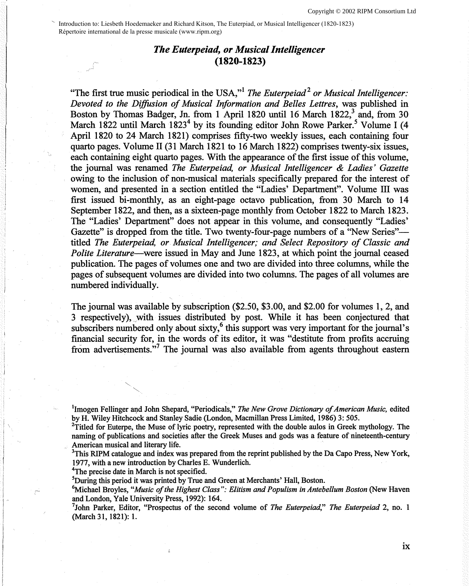Introduction to: Liesbeth Hoedemaeker and Richard Kitson, The Euterpiad, or Musical Intelligencer (1820-1823) Répertoire international de la presse musicale (www.ripm.org)

## *The Euterpeiad, or Musical Intelligencer*  **(1820-1823)**

"The first true music periodical in the USA,"<sup>1</sup>*The Euterpeiad* <sup>2</sup>*or Musical Intelligencer: Devoted to the Diffusion of Musical Information and Belles Lettres,* was published in Boston by Thomas Badger, Jn. from 1 April 1820 until 16 March  $1822<sup>3</sup>$  and, from 30 March 1822 until March 1823<sup>4</sup> by its founding editor John Rowe Parker.<sup>5</sup> Volume I (4 April 1820 to 24 March 1821) comprises fifty-two weekly issues, each containing four quarto pages. Volume II (31 March 1821 to 16 March 1822) comprises twenty-six issues, each containing eight quarto pages. With the appearance of the first issue of this volume, the journal was renamed *The Euterpeiad, or Musical Intelligencer & Ladies' Gazette*  owing to the inclusion of non-musical materials specifically prepared for the interest of women, and presented in a section entitled the "Ladies' Department". Volume III was first issued bi-monthly, as an eight-page octavo publication, from 30 March to 14 September 1822, and then, as a sixteen-page monthly from October 1822 to March 1823. The "Ladies' Department" does not appear in this volume, and consequently "Ladies' Gazette" is dropped from the title. Two twenty-four-page numbers of a "New Series"titled *The Euterpeiad, or. Musical Intelligencer; and Select Repository of Classic and Polite Literature*—were issued in May and June 1823, at which point the journal ceased publication. The pages of volumes one and two are divided into three columns, while the pages of subsequent volumes are divided into two columns. The pages of all volumes are numbered individually.

The journal was available by subscription (\$2.50, \$3.00, and \$2.00 for volumes 1, 2, and 3 respectively), with issues distributed by post. While it has been conjectured that subscribers numbered only about sixty, $^6$  this support was very important for the journal's financial security for, in the words of its editor, it was "destitute from profits accruing from advertisements."<sup>7</sup> The journal was also available from agents throughout eastern

<sup>1</sup>Imogen Fellinger and John Shepard, "Periodicals," The New Grove Dictionary of American Music, edited by H. Wiley Hitchcock and Stanley Sadie (London, Macmillan Press Limited, 1986) 3: 505. <sup>2</sup>

 $T$ Titled for Euterpe, the Muse of lyric poetry, represented with the double aulos in Greek mythology. The naming of publications and societies after the Greek Muses and gods was a feature of nineteenth-century American musical and literary life.

<sup>3</sup>This RIPM catalogue and index was prepared from the reprint published by the Da Capo Press, New York, 1977, with a new introduction by Charles E. Wunderlich.

<sup>4</sup>The precise date in March is not specified.

<sup>5</sup>During this period it was printed by True and Green at Merchants' Hall, Boston.

6Michael Broyles, *"Music of the Highest Class": Elitism and Populism in Antebellum Boston* (New Haven and London, Yale University Press, 1992): 164.

John Parker, Editor, "Prospectus of the second volume of *The Euterpeiad," The Euterpeiad* 2, no. 1 (March 31, 1821): 1.

**IX**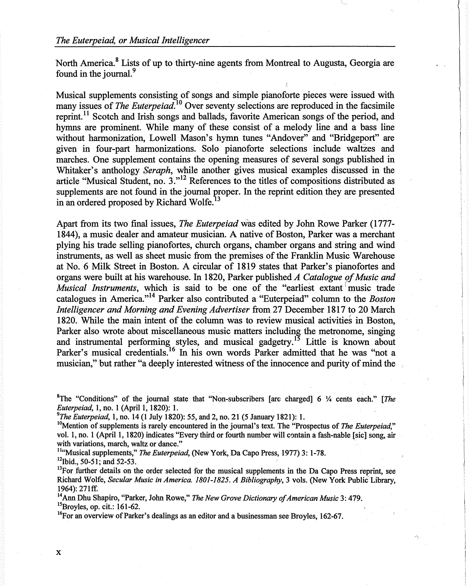North America.<sup>8</sup> Lists of up to thirty-nine agents from Montreal to Augusta, Georgia are found in the journal.<sup>9</sup>

Musical supplements consisting of songs and simple pianoforte pieces were issued with many issues of *The Euterpeiad*.<sup>10</sup> Over seventy selections are reproduced in the facsimile reprint. 11 Scotch and Irish songs and ballads, favorite American songs of the period, and hymns are prominent. While many of these consist of a melody line and a bass line without harmonization, Lowell Mason's hymn tunes "Andover" and "Bridgeport" are given in four-part harmonizations. Solo pianoforte selections include waltzes and marches. One supplement contains the opening measures of several songs published in Whitaker's anthology *Seraph,* while another gives musical examples discussed in the article "Musical Student, no. 3."12 References to the titles of compositions distributed as supplements are not found in the journal proper. In the reprint edition they are presented in an ordered proposed by Richard Wolfe.<sup>13</sup>

Apart from its two final issues, *The Euterpeiad* was edited by John Rowe Parker (1777- 1844), a music dealer and amateur musician. A native of Boston, Parker was a merchant plying his trade selling pianofortes, church organs, chamber organs and string and wind instruments, as well as sheet music from the premises of the Franklin Music Warehouse at No. 6 Milk Street in Boston. A circular of 1819 states that Parker's pianofortes and organs were built at his warehouse. In 1820, Parker published *A Catalogue of Music and Musical Instruments*, which is said to be one of the "earliest extant music trade" catalogues in America."14 Parker also contributed a "Euterpeiad" column to the *Boston Intelligencer and Morning and Evening Advertiser* from 27 December 1817 to 20 March 1820. While the main intent of the column was to review musical activities in Boston, Parker also wrote about miscellaneous music matters including the metronome, singing and instrumental performing styles, and musical gadgetry.<sup>15</sup> Little is known about Parker's musical credentials.<sup>16</sup> In his own words Parker admitted that he was "not a musician," but rather "a deeply interested witness of the innocence and purity of mind the

<sup>8</sup>The "Conditions" of the journal state that "Non-subscribers [are charged] 6 ¼ cents each." [The *Euterpeiad*, 1, no. 1 (April 1, 1820): 1.<br><sup>9</sup>The *Euterpeiad*, 1, no. 14 (1 July 1820): 55, and 2, no. 21 (5 January 1821): 1.

<sup>10</sup>Mention of supplements is rarely encountered in the journal's text. The "Prospectus of *The Euterpeiad*," vol. 1, no. 1 (April 1, 1820) indicates "Every third or fourth number will contain a fash-nable [sic] song, air

with variations, march, waltz or dance."<br><sup>11</sup>"Musical supplements," *The Euterpeiad*, (New York, Da Capo Press, 1977) 3: 1-78.<br><sup>12</sup>Ibid., 50-51; and 52-53.<br><sup>13</sup>For further details on the order selected for the musical sup

Richard Wolfe, *Secular Music in America. 1801-1825. A Bibliography,* 3 vols. (New York Public'Library,

1964): 271ff.<br><sup>14</sup>Ann Dhu Shapiro, "Parker, John Rowe," *The New Grove Dictionary of American Music* 3: 479.<br><sup>15</sup>Broyles, op. cit.: 161-62.

<sup>16</sup>For an overview of Parker's dealings as an editor and a businessman see Broyles, 162-67.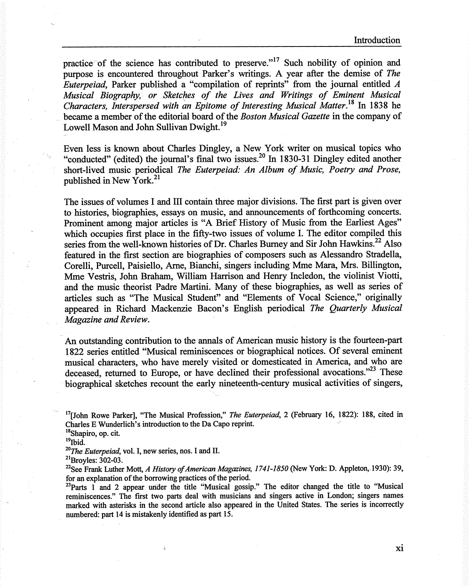practice of the science has contributed to preserve."<sup>17</sup> Such nobility of opinion and purpose is encountered throughout Parker's writings. A year after the demise of *The Euterpeiad,* Parker published a "compilation of reprints" from the journal entitled *<sup>A</sup> Musical Biography, or Sketches of the Lives and Writings of Eminent Musical Characters, Interspersed with an Epitome of Interesting Musical Matter. <sup>18</sup>*In 1838 he became a member of the editorial board of the *Boston Musical Gazette* in the company of Lowell Mason and John Sullivan Dwight.<sup>19</sup>

Even less is known about Charles Dingley, a New York writer on musical topics who "conducted" (edited) the journal's final two issues.<sup>20</sup> In 1830-31 Dingley edited another short-lived music periodical *The Euterpeiad: An Album of Music, Poetry and Prose,*  published in New York. <sup>21</sup>

The issues of volumes I and III contain three major divisions. The first part is given over to histories, biographies, essays on music, and announcements of forthcoming concerts. Prominent among major articles is "A Brief History of Music from the Earliest Ages" which occupies first place in the fifty-two issues of volume I. The editor compiled this series from the well-known histories of Dr. Charles Burney and Sir John Hawkins.<sup>22</sup> Also featured in the first section are biographies of composers such as Alessandro Stradella, Corelli, Purcell, Paisiello, Arne, Bianchi, singers including Mme Mara, Mrs. Billington, Mme Vestris, John Braham, William Harrison and Henry Incledon, the violinist Viotti, and the music theorist Padre Martini. Many of these biographies, as well as series of articles such as "The Musical Student" and "Elements of Vocal Science," originally appeared in Richard Mackenzie Bacon's English periodical *The Quarterly Musical Magazine and Review.* 

An outstanding contribution to the annals of American music history is the fourteen-part 1822 series entitled "Musical reminiscences or biographical notices. Of several eminent musical characters, who have merely visited or domesticated in America, and who are deceased, returned to Europe, or have declined their professional avocations." $^{23}$  These biographical sketches recount the early nineteenth-century musical activities of singers,

<sup>18</sup>Shapiro, op. cit.

*<sup>20</sup>The Euterpeiad,* vol. I, new series, nos. I and II.

<sup>21</sup>Broyles: 302-03.

<sup>22</sup>See Frank Luther Mott, *A History of American Magazines, 1741-1850* (New York: D. Appleton, 1930): 39, for an explanation of the borrowing practices of the period.

 $^{23}$ Parts 1 and 2 appear under the title "Musical gossip." The editor changed the title to "Musical reminiscences." The first two parts deal with musicians and singers active in London; singers names marked with asterisks in the second article also appeared in the United States. The series is incorrectly numbered: part 14 is mistakenly identified as part 15.

xi

<sup>17</sup>[John Rowe Parker], "The Musical Profession," *The Euterpeiad,* 2 (February 16, 1822): 188, cited in Charles E Wunderlich's introduction to the Da Capo reprint.

 $19$ Ibid.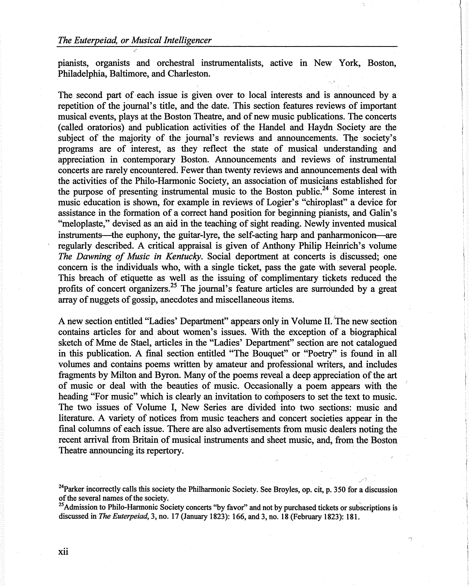pianists, organists and orchestral instrumentalists, active in New York, Boston, Philadelphia, Baltimore, and Charleston.

The second part of each issue is given over to local interests and is announced by a repetition of the journal's title, and the date. This section features reviews of important musical events, plays at the Boston Theatre, and of new music publications. The concerts (called oratorios) and publication activities of the Handel and Haydn Society are the subject of the majority of the journal's reviews and announcements. The society's programs are of interest, as they reflect the state of musical understanding and appreciation in contemporary Boston. Announcements and reviews of instrumental concerts are rarely encountered. Fewer than twenty reviews and announcements deal with the activities of the Philo-Harmonic Society, an association of musicians established for the purpose of presenting instrumental music to the Boston public.<sup>24</sup> Some interest in music education is shown, for example in reviews of Logier's "chiroplast" a device for assistance in the formation of a correct hand position for beginning pianists, and Galin's "meloplaste," devised as an aid in the teaching of sight reading. Newly invented musical instruments—the euphony, the guitar-lyre, the self-acting harp and panharmonicon—are regularly described. A critical appraisal is given of Anthony Philip Heinrich's volume The Dawning of Music in Kentucky. Social deportment at concerts is discussed; one concern is the individuals who, with a single ticket, pass the gate with several people. This breach of etiquette as well as the issuing of complimentary tickets reduced the profits of concert organizers.<sup>25</sup> The journal's feature articles are surrounded by a great array of nuggets of gossip, anecdotes and miscellaneous items.

A new section entitled "Ladies' Department" appears only in Volume II.'The new section contains articles for and about women's issues. With the exception of a biographical sketch of Mme de Stael, articles in the "Ladies' Department" section are not catalogued in this publication. A final section entitled "The Bouquet" or "Poetry" is found in all volumes and contains poems written by amateur and professional writers, and includes fragments by Milton and Byron. Many of the poems reveal a deep appreciation of the art of music or deal with the beauties of music. Occasionally a poem appears with the heading "For music" which is clearly an invitation to composers to set the text to music. The two issues of Volume I, New Series are divided into two sections: music and literature. A variety of notices from music teachers and concert societies appear in the final columns of each issue. There are also advertisements from music dealers noting the recent arrival from Britain of musical instruments and sheet music, and, from the Boston Theatre announcing its repertory.

~

<sup>&</sup>lt;sup>24</sup>Parker incorrectly calls this society the Philharmonic Society. See Broyles, op. cit, p. 350 for a discussion of the several names of the society.

 $^{25}$ Admission to Philo-Harmonic Society concerts "by favor" and not by purchased tickets or subscriptions is discussed in *The Euterpeiad,* 3, no. 17 (January 1823): 166, and 3, no. **18** (February 1823): 181.